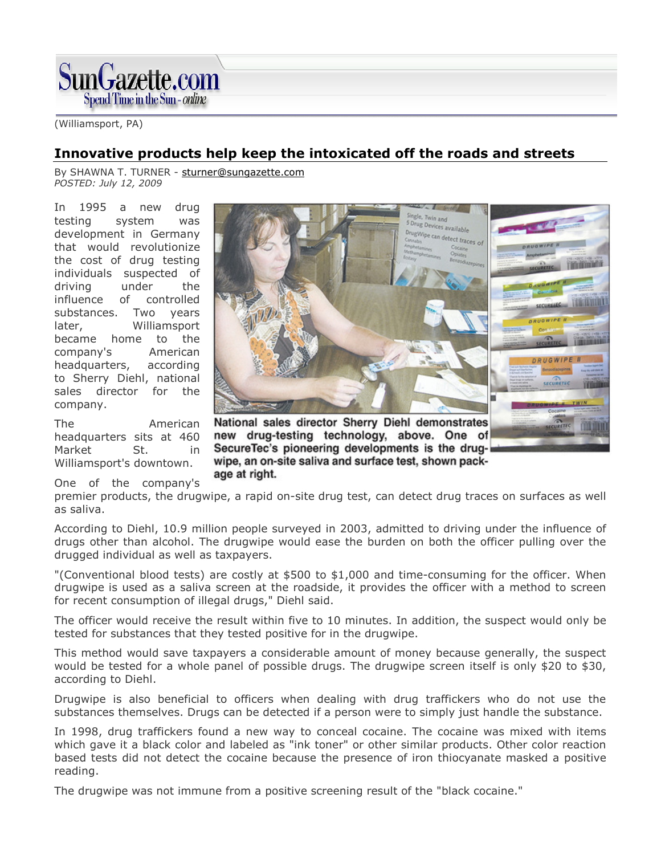

(Williamsport, PA)

## Innovative products help keep the intoxicated off the roads and streets

By SHAWNA T. TURNER - sturner@sungazette.com POSTED: July 12, 2009

In 1995 a new drug testing system was development in Germany that would revolutionize the cost of drug testing individuals suspected of driving under the influence of controlled substances. Two years later, Williamsport became home to the company's American headquarters, according to Sherry Diehl, national sales director for the company.

The American headquarters sits at 460 Market St. in Williamsport's downtown.

One of the company's



SecureTec's pioneering developments is the drugwipe, an on-site saliva and surface test, shown package at right.

premier products, the drugwipe, a rapid on-site drug test, can detect drug traces on surfaces as well as saliva.

According to Diehl, 10.9 million people surveyed in 2003, admitted to driving under the influence of drugs other than alcohol. The drugwipe would ease the burden on both the officer pulling over the drugged individual as well as taxpayers.

"(Conventional blood tests) are costly at \$500 to \$1,000 and time-consuming for the officer. When drugwipe is used as a saliva screen at the roadside, it provides the officer with a method to screen for recent consumption of illegal drugs," Diehl said.

The officer would receive the result within five to 10 minutes. In addition, the suspect would only be tested for substances that they tested positive for in the drugwipe.

This method would save taxpayers a considerable amount of money because generally, the suspect would be tested for a whole panel of possible drugs. The drugwipe screen itself is only \$20 to \$30, according to Diehl.

Drugwipe is also beneficial to officers when dealing with drug traffickers who do not use the substances themselves. Drugs can be detected if a person were to simply just handle the substance.

In 1998, drug traffickers found a new way to conceal cocaine. The cocaine was mixed with items which gave it a black color and labeled as "ink toner" or other similar products. Other color reaction based tests did not detect the cocaine because the presence of iron thiocyanate masked a positive reading.

The drugwipe was not immune from a positive screening result of the "black cocaine."